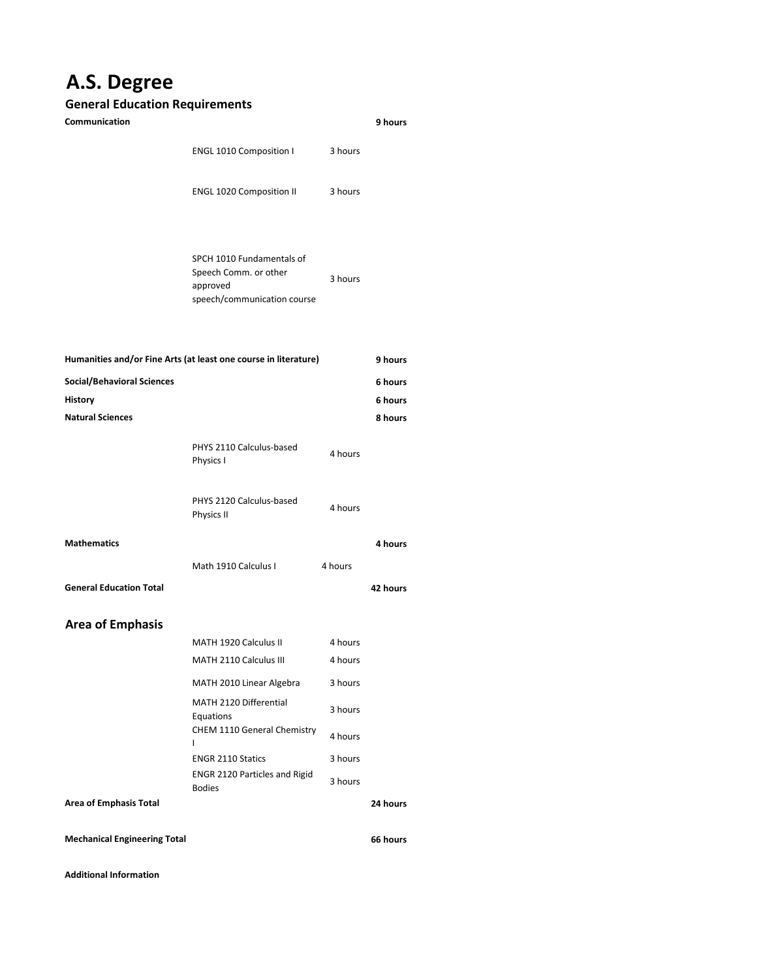## **A.S. Degree**

## **General Education Requirements**

| Communication                                                              |                                                                                               |                    | 9 hours  |
|----------------------------------------------------------------------------|-----------------------------------------------------------------------------------------------|--------------------|----------|
|                                                                            | <b>ENGL 1010 Composition I</b>                                                                | 3 hours            |          |
|                                                                            | <b>ENGL 1020 Composition II</b>                                                               | 3 hours            |          |
|                                                                            | SPCH 1010 Fundamentals of<br>Speech Comm. or other<br>approved<br>speech/communication course | 3 hours            |          |
| Humanities and/or Fine Arts (at least one course in literature)<br>9 hours |                                                                                               |                    |          |
| <b>Social/Behavioral Sciences</b>                                          |                                                                                               |                    | 6 hours  |
| History                                                                    |                                                                                               |                    | 6 hours  |
| <b>Natural Sciences</b>                                                    |                                                                                               |                    | 8 hours  |
|                                                                            | PHYS 2110 Calculus-based<br>Physics I                                                         | 4 hours            |          |
|                                                                            | PHYS 2120 Calculus-based<br>Physics II                                                        | 4 hours            |          |
| <b>Mathematics</b>                                                         |                                                                                               |                    | 4 hours  |
|                                                                            | Math 1910 Calculus I                                                                          | 4 hours            |          |
| <b>General Education Total</b>                                             |                                                                                               |                    | 42 hours |
| <b>Area of Emphasis</b>                                                    |                                                                                               |                    |          |
|                                                                            | MATH 1920 Calculus II                                                                         | 4 hours            |          |
|                                                                            | MATH 2110 Calculus III                                                                        | 4 hours            |          |
|                                                                            | MATH 2010 Linear Algebra                                                                      | 3 hours            |          |
|                                                                            | MATH 2120 Differential                                                                        | 3 hours            |          |
|                                                                            | Equations<br>CHEM 1110 General Chemistry<br>ı                                                 | 4 hours            |          |
|                                                                            | <b>ENGR 2110 Statics</b><br><b>ENGR 2120 Particles and Rigid</b>                              | 3 hours<br>3 hours |          |
| <b>Area of Emphasis Total</b>                                              | <b>Bodies</b>                                                                                 |                    | 24 hours |
|                                                                            |                                                                                               |                    |          |
| <b>Mechanical Engineering Total</b>                                        |                                                                                               |                    | 66 hours |

**Additional Information**